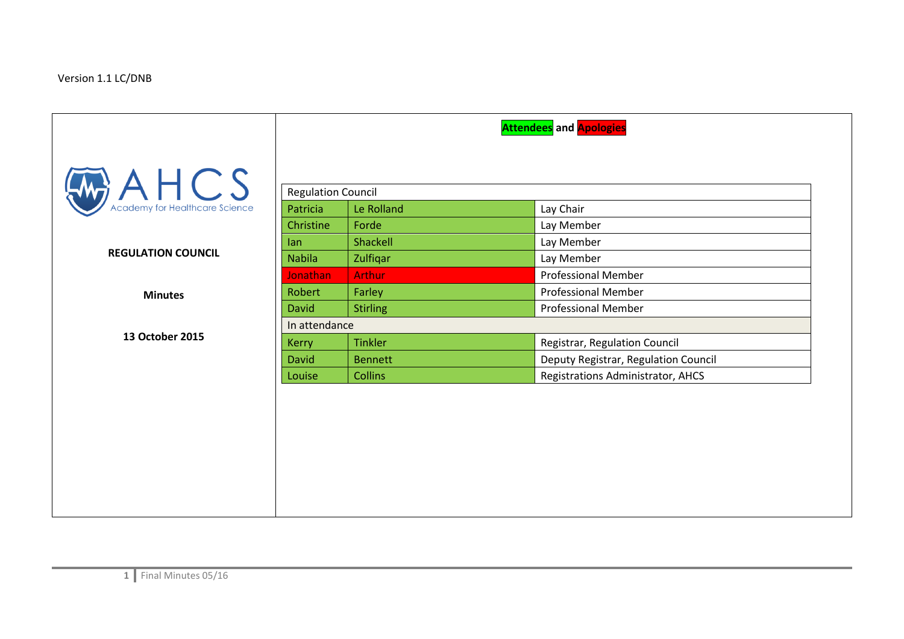## Version 1.1 LC/DNB

|                           |                           |                 | <b>Attendees</b> and <b>Apologies</b> |  |
|---------------------------|---------------------------|-----------------|---------------------------------------|--|
| $A \nleftarrow$ A $HCS$   | <b>Regulation Council</b> |                 |                                       |  |
|                           | Patricia                  | Le Rolland      | Lay Chair                             |  |
|                           | Christine                 | Forde           | Lay Member                            |  |
|                           | lan                       | Shackell        | Lay Member                            |  |
| <b>REGULATION COUNCIL</b> | <b>Nabila</b>             | Zulfiqar        | Lay Member                            |  |
|                           | <b>Jonathan</b>           | <b>Arthur</b>   | <b>Professional Member</b>            |  |
| <b>Minutes</b>            | Robert                    | Farley          | <b>Professional Member</b>            |  |
|                           | <b>David</b>              | <b>Stirling</b> | <b>Professional Member</b>            |  |
|                           | In attendance             |                 |                                       |  |
| 13 October 2015           | <b>Kerry</b>              | <b>Tinkler</b>  | Registrar, Regulation Council         |  |
|                           | <b>David</b>              | <b>Bennett</b>  | Deputy Registrar, Regulation Council  |  |
|                           | Louise                    | <b>Collins</b>  | Registrations Administrator, AHCS     |  |
|                           |                           |                 |                                       |  |
|                           |                           |                 |                                       |  |
|                           |                           |                 |                                       |  |
|                           |                           |                 |                                       |  |
|                           |                           |                 |                                       |  |
|                           |                           |                 |                                       |  |
|                           |                           |                 |                                       |  |
|                           |                           |                 |                                       |  |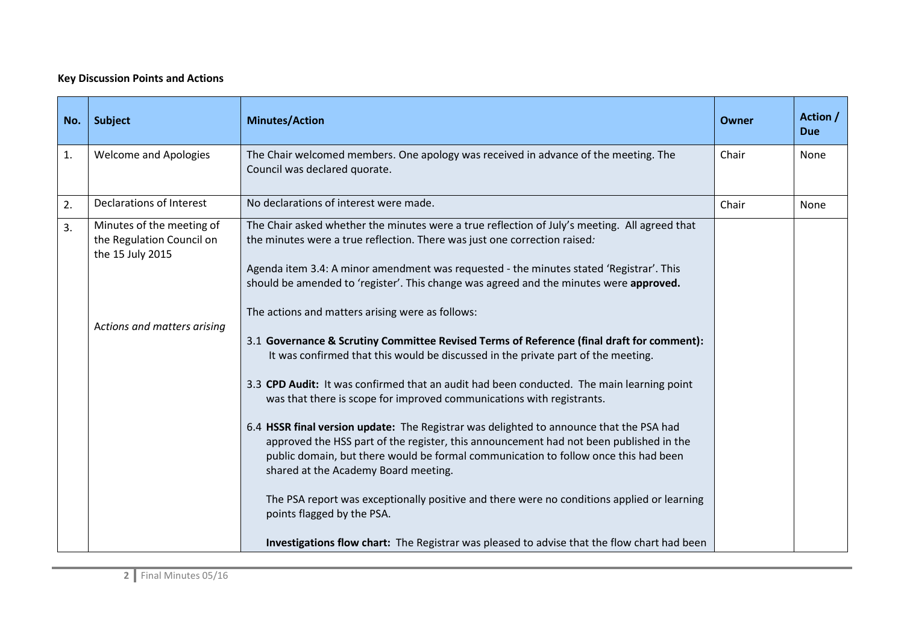## **Key Discussion Points and Actions**

| No. | <b>Subject</b>                                                             | <b>Minutes/Action</b>                                                                                                                                                                                                                                                                                                                                                                                                                                                                                                                                                                                                                                                                                                                                                                                                                                    | Owner | Action /<br><b>Due</b> |
|-----|----------------------------------------------------------------------------|----------------------------------------------------------------------------------------------------------------------------------------------------------------------------------------------------------------------------------------------------------------------------------------------------------------------------------------------------------------------------------------------------------------------------------------------------------------------------------------------------------------------------------------------------------------------------------------------------------------------------------------------------------------------------------------------------------------------------------------------------------------------------------------------------------------------------------------------------------|-------|------------------------|
| 1.  | <b>Welcome and Apologies</b>                                               | The Chair welcomed members. One apology was received in advance of the meeting. The<br>Council was declared quorate.                                                                                                                                                                                                                                                                                                                                                                                                                                                                                                                                                                                                                                                                                                                                     | Chair | None                   |
| 2.  | Declarations of Interest                                                   | No declarations of interest were made.                                                                                                                                                                                                                                                                                                                                                                                                                                                                                                                                                                                                                                                                                                                                                                                                                   | Chair | None                   |
| 3.  | Minutes of the meeting of<br>the Regulation Council on<br>the 15 July 2015 | The Chair asked whether the minutes were a true reflection of July's meeting. All agreed that<br>the minutes were a true reflection. There was just one correction raised:<br>Agenda item 3.4: A minor amendment was requested - the minutes stated 'Registrar'. This<br>should be amended to 'register'. This change was agreed and the minutes were approved.                                                                                                                                                                                                                                                                                                                                                                                                                                                                                          |       |                        |
|     | Actions and matters arising                                                | The actions and matters arising were as follows:<br>3.1 Governance & Scrutiny Committee Revised Terms of Reference (final draft for comment):<br>It was confirmed that this would be discussed in the private part of the meeting.<br>3.3 CPD Audit: It was confirmed that an audit had been conducted. The main learning point<br>was that there is scope for improved communications with registrants.<br>6.4 HSSR final version update: The Registrar was delighted to announce that the PSA had<br>approved the HSS part of the register, this announcement had not been published in the<br>public domain, but there would be formal communication to follow once this had been<br>shared at the Academy Board meeting.<br>The PSA report was exceptionally positive and there were no conditions applied or learning<br>points flagged by the PSA. |       |                        |
|     |                                                                            | Investigations flow chart: The Registrar was pleased to advise that the flow chart had been                                                                                                                                                                                                                                                                                                                                                                                                                                                                                                                                                                                                                                                                                                                                                              |       |                        |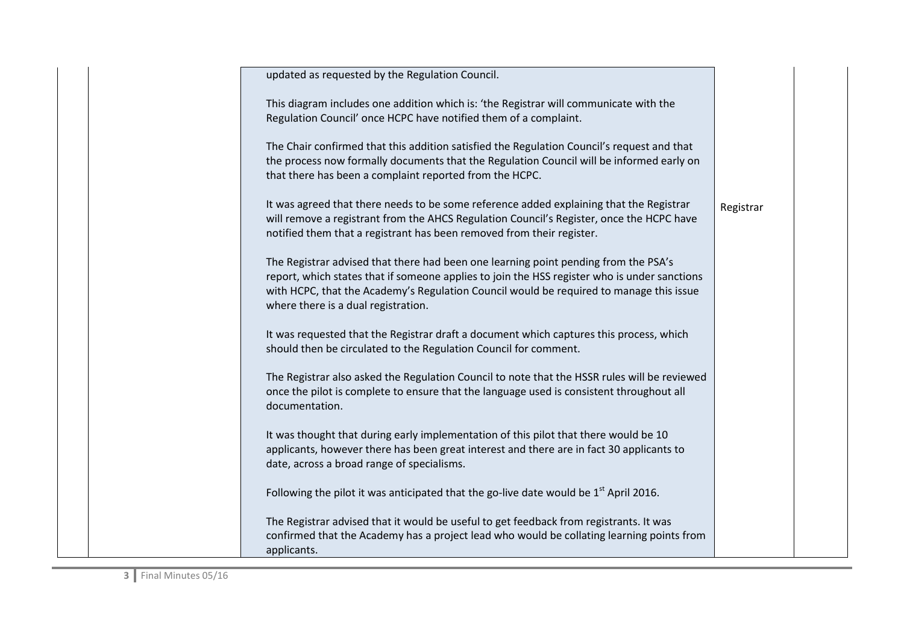| updated as requested by the Regulation Council.                                                                                                                                                                                                                                                                       |           |
|-----------------------------------------------------------------------------------------------------------------------------------------------------------------------------------------------------------------------------------------------------------------------------------------------------------------------|-----------|
|                                                                                                                                                                                                                                                                                                                       |           |
| This diagram includes one addition which is: 'the Registrar will communicate with the                                                                                                                                                                                                                                 |           |
| Regulation Council' once HCPC have notified them of a complaint.                                                                                                                                                                                                                                                      |           |
| The Chair confirmed that this addition satisfied the Regulation Council's request and that<br>the process now formally documents that the Regulation Council will be informed early on                                                                                                                                |           |
| that there has been a complaint reported from the HCPC.                                                                                                                                                                                                                                                               |           |
| It was agreed that there needs to be some reference added explaining that the Registrar<br>will remove a registrant from the AHCS Regulation Council's Register, once the HCPC have<br>notified them that a registrant has been removed from their register.                                                          | Registrar |
| The Registrar advised that there had been one learning point pending from the PSA's<br>report, which states that if someone applies to join the HSS register who is under sanctions<br>with HCPC, that the Academy's Regulation Council would be required to manage this issue<br>where there is a dual registration. |           |
| It was requested that the Registrar draft a document which captures this process, which<br>should then be circulated to the Regulation Council for comment.                                                                                                                                                           |           |
| The Registrar also asked the Regulation Council to note that the HSSR rules will be reviewed<br>once the pilot is complete to ensure that the language used is consistent throughout all<br>documentation.                                                                                                            |           |
| It was thought that during early implementation of this pilot that there would be 10<br>applicants, however there has been great interest and there are in fact 30 applicants to<br>date, across a broad range of specialisms.                                                                                        |           |
| Following the pilot it was anticipated that the go-live date would be $1st$ April 2016.                                                                                                                                                                                                                               |           |
| The Registrar advised that it would be useful to get feedback from registrants. It was<br>confirmed that the Academy has a project lead who would be collating learning points from<br>applicants.                                                                                                                    |           |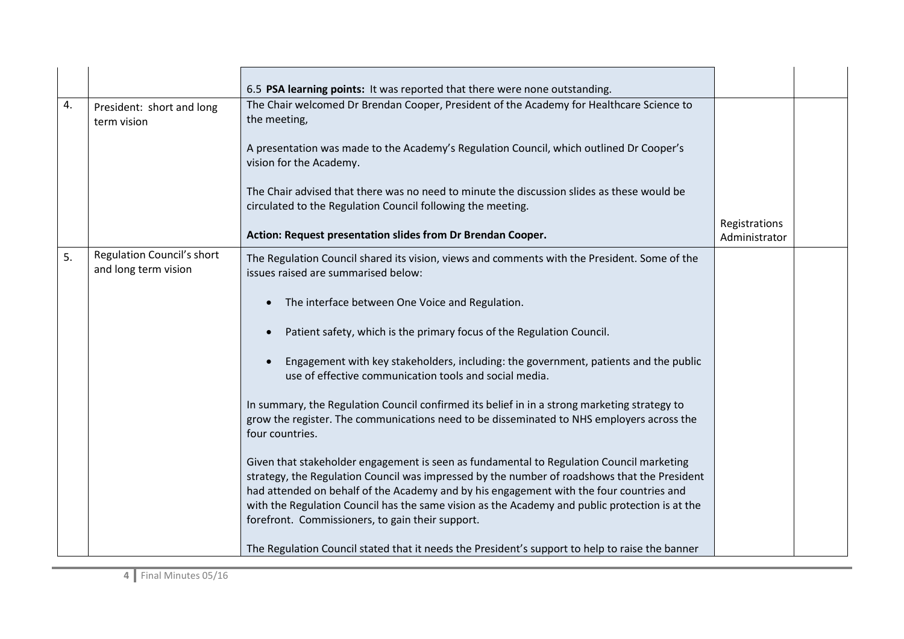|    |                                                    | 6.5 PSA learning points: It was reported that there were none outstanding.                                                                                                                                                                                                                                                                                                                                                                |                                |  |
|----|----------------------------------------------------|-------------------------------------------------------------------------------------------------------------------------------------------------------------------------------------------------------------------------------------------------------------------------------------------------------------------------------------------------------------------------------------------------------------------------------------------|--------------------------------|--|
| 4. | President: short and long<br>term vision           | The Chair welcomed Dr Brendan Cooper, President of the Academy for Healthcare Science to<br>the meeting,                                                                                                                                                                                                                                                                                                                                  |                                |  |
|    |                                                    | A presentation was made to the Academy's Regulation Council, which outlined Dr Cooper's<br>vision for the Academy.                                                                                                                                                                                                                                                                                                                        |                                |  |
|    |                                                    | The Chair advised that there was no need to minute the discussion slides as these would be<br>circulated to the Regulation Council following the meeting.                                                                                                                                                                                                                                                                                 |                                |  |
|    |                                                    | Action: Request presentation slides from Dr Brendan Cooper.                                                                                                                                                                                                                                                                                                                                                                               | Registrations<br>Administrator |  |
| 5. | Regulation Council's short<br>and long term vision | The Regulation Council shared its vision, views and comments with the President. Some of the<br>issues raised are summarised below:                                                                                                                                                                                                                                                                                                       |                                |  |
|    |                                                    | The interface between One Voice and Regulation.                                                                                                                                                                                                                                                                                                                                                                                           |                                |  |
|    |                                                    | Patient safety, which is the primary focus of the Regulation Council.                                                                                                                                                                                                                                                                                                                                                                     |                                |  |
|    |                                                    | Engagement with key stakeholders, including: the government, patients and the public<br>use of effective communication tools and social media.                                                                                                                                                                                                                                                                                            |                                |  |
|    |                                                    | In summary, the Regulation Council confirmed its belief in in a strong marketing strategy to<br>grow the register. The communications need to be disseminated to NHS employers across the<br>four countries.                                                                                                                                                                                                                              |                                |  |
|    |                                                    | Given that stakeholder engagement is seen as fundamental to Regulation Council marketing<br>strategy, the Regulation Council was impressed by the number of roadshows that the President<br>had attended on behalf of the Academy and by his engagement with the four countries and<br>with the Regulation Council has the same vision as the Academy and public protection is at the<br>forefront. Commissioners, to gain their support. |                                |  |
|    |                                                    | The Regulation Council stated that it needs the President's support to help to raise the banner                                                                                                                                                                                                                                                                                                                                           |                                |  |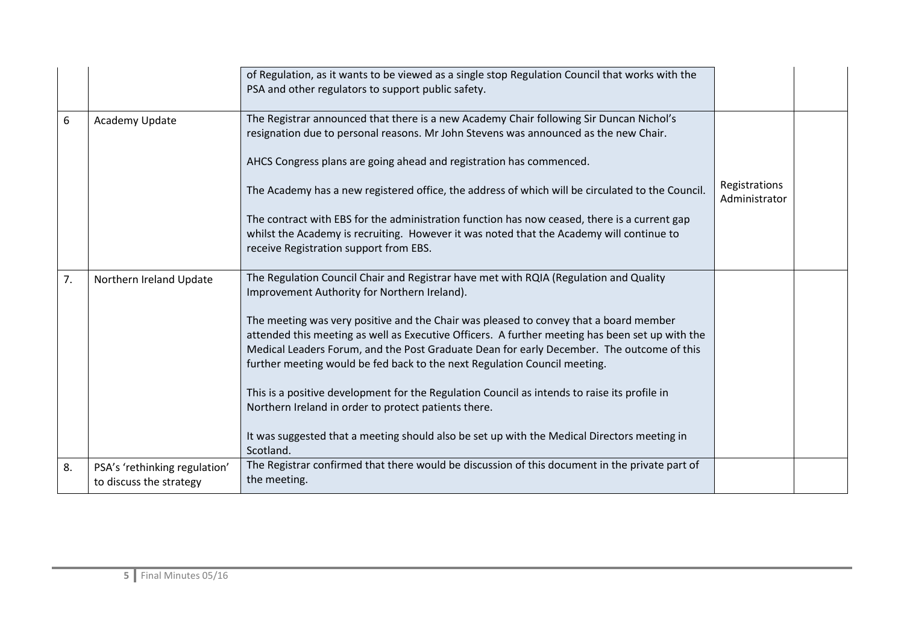|    |                                                          | of Regulation, as it wants to be viewed as a single stop Regulation Council that works with the<br>PSA and other regulators to support public safety.                                                                                                                                                                                                              |                                |  |
|----|----------------------------------------------------------|--------------------------------------------------------------------------------------------------------------------------------------------------------------------------------------------------------------------------------------------------------------------------------------------------------------------------------------------------------------------|--------------------------------|--|
| 6  | Academy Update                                           | The Registrar announced that there is a new Academy Chair following Sir Duncan Nichol's<br>resignation due to personal reasons. Mr John Stevens was announced as the new Chair.                                                                                                                                                                                    |                                |  |
|    |                                                          | AHCS Congress plans are going ahead and registration has commenced.                                                                                                                                                                                                                                                                                                |                                |  |
|    |                                                          | The Academy has a new registered office, the address of which will be circulated to the Council.                                                                                                                                                                                                                                                                   | Registrations<br>Administrator |  |
|    |                                                          | The contract with EBS for the administration function has now ceased, there is a current gap<br>whilst the Academy is recruiting. However it was noted that the Academy will continue to<br>receive Registration support from EBS.                                                                                                                                 |                                |  |
| 7. | Northern Ireland Update                                  | The Regulation Council Chair and Registrar have met with RQIA (Regulation and Quality<br>Improvement Authority for Northern Ireland).                                                                                                                                                                                                                              |                                |  |
|    |                                                          | The meeting was very positive and the Chair was pleased to convey that a board member<br>attended this meeting as well as Executive Officers. A further meeting has been set up with the<br>Medical Leaders Forum, and the Post Graduate Dean for early December. The outcome of this<br>further meeting would be fed back to the next Regulation Council meeting. |                                |  |
|    |                                                          | This is a positive development for the Regulation Council as intends to raise its profile in<br>Northern Ireland in order to protect patients there.                                                                                                                                                                                                               |                                |  |
|    |                                                          | It was suggested that a meeting should also be set up with the Medical Directors meeting in<br>Scotland.                                                                                                                                                                                                                                                           |                                |  |
| 8. | PSA's 'rethinking regulation'<br>to discuss the strategy | The Registrar confirmed that there would be discussion of this document in the private part of<br>the meeting.                                                                                                                                                                                                                                                     |                                |  |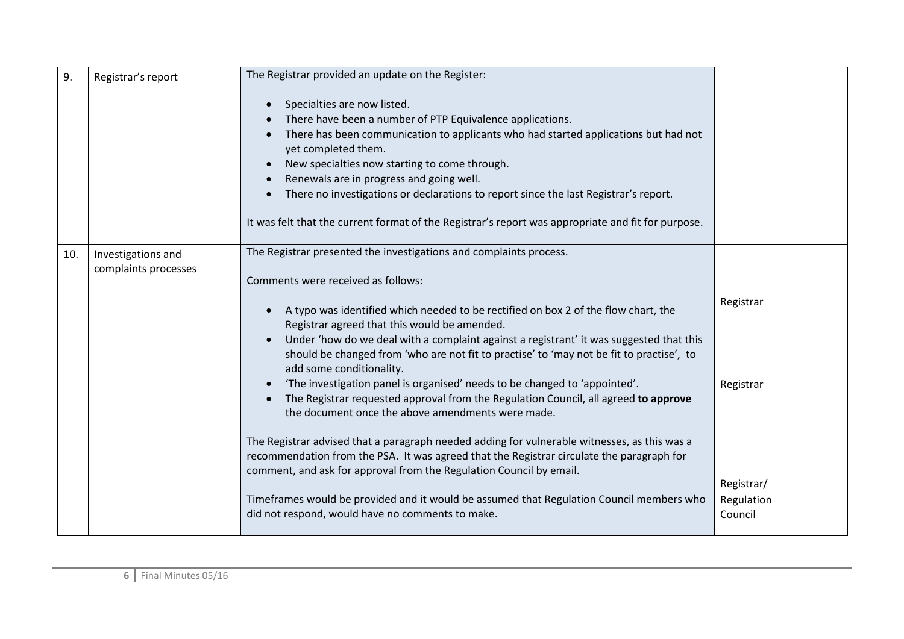| 9.  | Registrar's report                         | The Registrar provided an update on the Register:                                                                                                                                                                                                                                                                                                                                                                                                                                                                                                                                                                                                                                                                                                                                                                                                                                                                                                                                                                                                                                                                            |                                                               |  |
|-----|--------------------------------------------|------------------------------------------------------------------------------------------------------------------------------------------------------------------------------------------------------------------------------------------------------------------------------------------------------------------------------------------------------------------------------------------------------------------------------------------------------------------------------------------------------------------------------------------------------------------------------------------------------------------------------------------------------------------------------------------------------------------------------------------------------------------------------------------------------------------------------------------------------------------------------------------------------------------------------------------------------------------------------------------------------------------------------------------------------------------------------------------------------------------------------|---------------------------------------------------------------|--|
|     |                                            | Specialties are now listed.<br>There have been a number of PTP Equivalence applications.<br>There has been communication to applicants who had started applications but had not<br>yet completed them.<br>New specialties now starting to come through.<br>Renewals are in progress and going well.<br>There no investigations or declarations to report since the last Registrar's report.<br>It was felt that the current format of the Registrar's report was appropriate and fit for purpose.                                                                                                                                                                                                                                                                                                                                                                                                                                                                                                                                                                                                                            |                                                               |  |
| 10. | Investigations and<br>complaints processes | The Registrar presented the investigations and complaints process.<br>Comments were received as follows:<br>A typo was identified which needed to be rectified on box 2 of the flow chart, the<br>Registrar agreed that this would be amended.<br>Under 'how do we deal with a complaint against a registrant' it was suggested that this<br>$\bullet$<br>should be changed from 'who are not fit to practise' to 'may not be fit to practise', to<br>add some conditionality.<br>'The investigation panel is organised' needs to be changed to 'appointed'.<br>The Registrar requested approval from the Regulation Council, all agreed to approve<br>the document once the above amendments were made.<br>The Registrar advised that a paragraph needed adding for vulnerable witnesses, as this was a<br>recommendation from the PSA. It was agreed that the Registrar circulate the paragraph for<br>comment, and ask for approval from the Regulation Council by email.<br>Timeframes would be provided and it would be assumed that Regulation Council members who<br>did not respond, would have no comments to make. | Registrar<br>Registrar<br>Registrar/<br>Regulation<br>Council |  |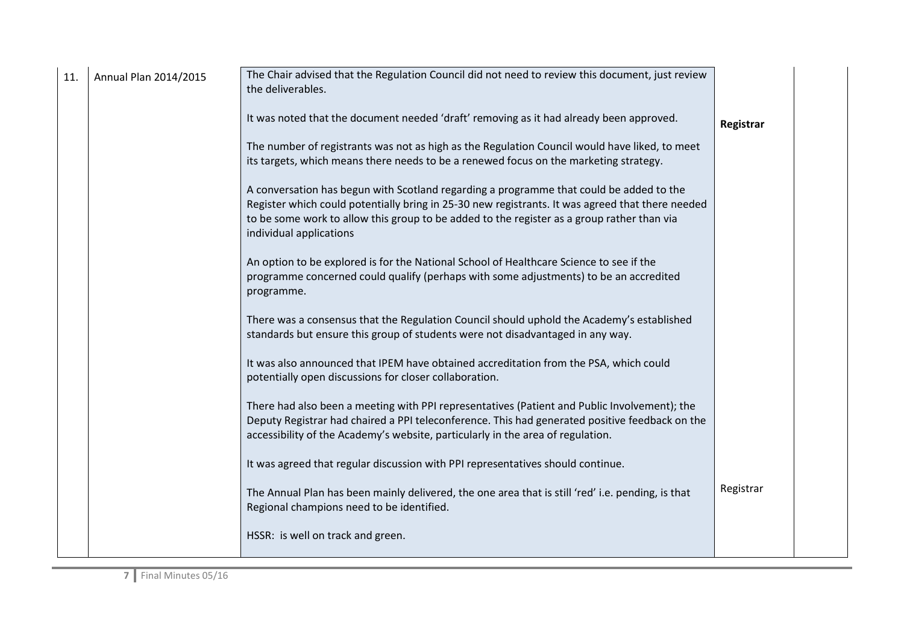| 11. | Annual Plan 2014/2015 | The Chair advised that the Regulation Council did not need to review this document, just review<br>the deliverables.                                                                                                                                                                                                 |           |
|-----|-----------------------|----------------------------------------------------------------------------------------------------------------------------------------------------------------------------------------------------------------------------------------------------------------------------------------------------------------------|-----------|
|     |                       | It was noted that the document needed 'draft' removing as it had already been approved.                                                                                                                                                                                                                              | Registrar |
|     |                       | The number of registrants was not as high as the Regulation Council would have liked, to meet<br>its targets, which means there needs to be a renewed focus on the marketing strategy.                                                                                                                               |           |
|     |                       | A conversation has begun with Scotland regarding a programme that could be added to the<br>Register which could potentially bring in 25-30 new registrants. It was agreed that there needed<br>to be some work to allow this group to be added to the register as a group rather than via<br>individual applications |           |
|     |                       | An option to be explored is for the National School of Healthcare Science to see if the<br>programme concerned could qualify (perhaps with some adjustments) to be an accredited<br>programme.                                                                                                                       |           |
|     |                       | There was a consensus that the Regulation Council should uphold the Academy's established<br>standards but ensure this group of students were not disadvantaged in any way.                                                                                                                                          |           |
|     |                       | It was also announced that IPEM have obtained accreditation from the PSA, which could<br>potentially open discussions for closer collaboration.                                                                                                                                                                      |           |
|     |                       | There had also been a meeting with PPI representatives (Patient and Public Involvement); the<br>Deputy Registrar had chaired a PPI teleconference. This had generated positive feedback on the<br>accessibility of the Academy's website, particularly in the area of regulation.                                    |           |
|     |                       | It was agreed that regular discussion with PPI representatives should continue.                                                                                                                                                                                                                                      |           |
|     |                       | The Annual Plan has been mainly delivered, the one area that is still 'red' i.e. pending, is that<br>Regional champions need to be identified.                                                                                                                                                                       | Registrar |
|     |                       | HSSR: is well on track and green.                                                                                                                                                                                                                                                                                    |           |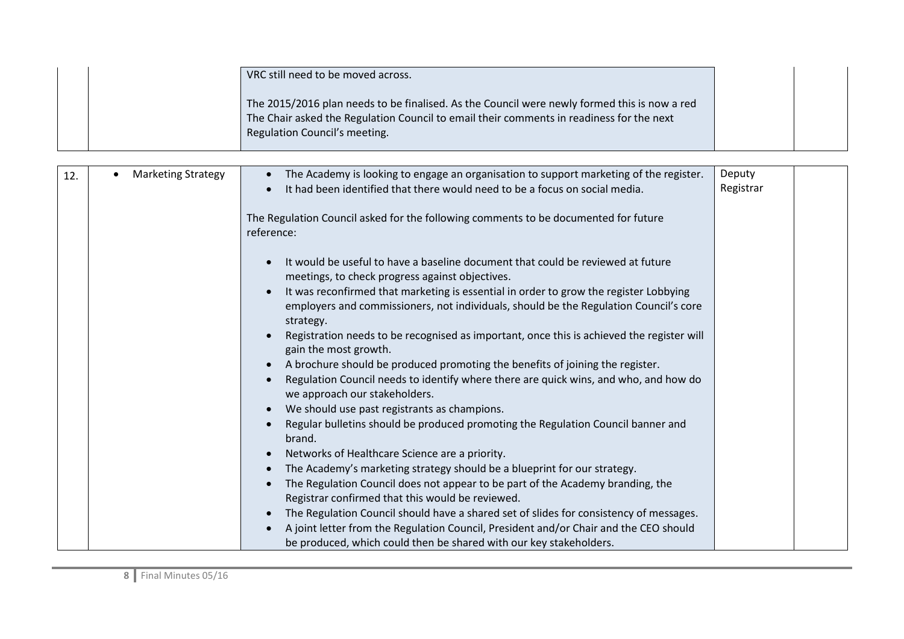| VRC still need to be moved across.                                                                                                                                                       |  |
|------------------------------------------------------------------------------------------------------------------------------------------------------------------------------------------|--|
| The 2015/2016 plan needs to be finalised. As the Council were newly formed this is now a red<br>The Chair asked the Regulation Council to email their comments in readiness for the next |  |
| Regulation Council's meeting.                                                                                                                                                            |  |

| 12. | <b>Marketing Strategy</b> | The Academy is looking to engage an organisation to support marketing of the register.    | Deputy    |  |
|-----|---------------------------|-------------------------------------------------------------------------------------------|-----------|--|
|     |                           | It had been identified that there would need to be a focus on social media.               | Registrar |  |
|     |                           |                                                                                           |           |  |
|     |                           | The Regulation Council asked for the following comments to be documented for future       |           |  |
|     |                           | reference:                                                                                |           |  |
|     |                           |                                                                                           |           |  |
|     |                           | It would be useful to have a baseline document that could be reviewed at future           |           |  |
|     |                           | meetings, to check progress against objectives.                                           |           |  |
|     |                           | It was reconfirmed that marketing is essential in order to grow the register Lobbying     |           |  |
|     |                           | employers and commissioners, not individuals, should be the Regulation Council's core     |           |  |
|     |                           | strategy.                                                                                 |           |  |
|     |                           | Registration needs to be recognised as important, once this is achieved the register will |           |  |
|     |                           | gain the most growth.                                                                     |           |  |
|     |                           | A brochure should be produced promoting the benefits of joining the register.             |           |  |
|     |                           | Regulation Council needs to identify where there are quick wins, and who, and how do      |           |  |
|     |                           | we approach our stakeholders.                                                             |           |  |
|     |                           | We should use past registrants as champions.                                              |           |  |
|     |                           | Regular bulletins should be produced promoting the Regulation Council banner and          |           |  |
|     |                           | brand.                                                                                    |           |  |
|     |                           | Networks of Healthcare Science are a priority.                                            |           |  |
|     |                           | The Academy's marketing strategy should be a blueprint for our strategy.                  |           |  |
|     |                           | The Regulation Council does not appear to be part of the Academy branding, the            |           |  |
|     |                           | Registrar confirmed that this would be reviewed.                                          |           |  |
|     |                           | The Regulation Council should have a shared set of slides for consistency of messages.    |           |  |
|     |                           | A joint letter from the Regulation Council, President and/or Chair and the CEO should     |           |  |
|     |                           | be produced, which could then be shared with our key stakeholders.                        |           |  |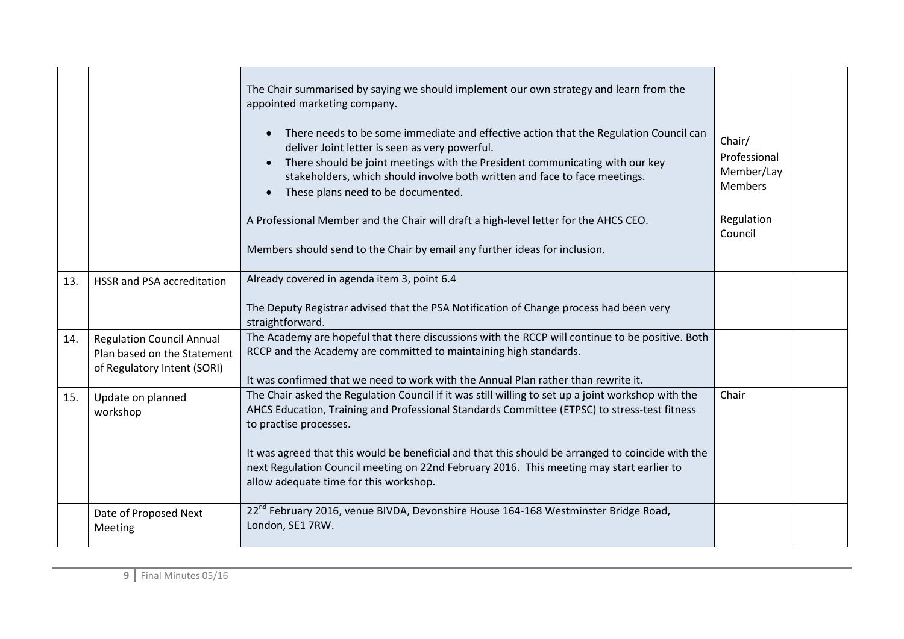|     |                                                                                                | The Chair summarised by saying we should implement our own strategy and learn from the<br>appointed marketing company.<br>There needs to be some immediate and effective action that the Regulation Council can<br>deliver Joint letter is seen as very powerful.<br>There should be joint meetings with the President communicating with our key<br>stakeholders, which should involve both written and face to face meetings.<br>These plans need to be documented.<br>A Professional Member and the Chair will draft a high-level letter for the AHCS CEO.<br>Members should send to the Chair by email any further ideas for inclusion. | Chair/<br>Professional<br>Member/Lay<br><b>Members</b><br>Regulation<br>Council |  |
|-----|------------------------------------------------------------------------------------------------|---------------------------------------------------------------------------------------------------------------------------------------------------------------------------------------------------------------------------------------------------------------------------------------------------------------------------------------------------------------------------------------------------------------------------------------------------------------------------------------------------------------------------------------------------------------------------------------------------------------------------------------------|---------------------------------------------------------------------------------|--|
| 13. | HSSR and PSA accreditation                                                                     | Already covered in agenda item 3, point 6.4                                                                                                                                                                                                                                                                                                                                                                                                                                                                                                                                                                                                 |                                                                                 |  |
|     |                                                                                                | The Deputy Registrar advised that the PSA Notification of Change process had been very<br>straightforward.                                                                                                                                                                                                                                                                                                                                                                                                                                                                                                                                  |                                                                                 |  |
| 14. | <b>Regulation Council Annual</b><br>Plan based on the Statement<br>of Regulatory Intent (SORI) | The Academy are hopeful that there discussions with the RCCP will continue to be positive. Both<br>RCCP and the Academy are committed to maintaining high standards.<br>It was confirmed that we need to work with the Annual Plan rather than rewrite it.                                                                                                                                                                                                                                                                                                                                                                                  |                                                                                 |  |
| 15. | Update on planned<br>workshop                                                                  | The Chair asked the Regulation Council if it was still willing to set up a joint workshop with the<br>AHCS Education, Training and Professional Standards Committee (ETPSC) to stress-test fitness<br>to practise processes.<br>It was agreed that this would be beneficial and that this should be arranged to coincide with the<br>next Regulation Council meeting on 22nd February 2016. This meeting may start earlier to<br>allow adequate time for this workshop.                                                                                                                                                                     | Chair                                                                           |  |
|     | Date of Proposed Next<br>Meeting                                                               | 22 <sup>nd</sup> February 2016, venue BIVDA, Devonshire House 164-168 Westminster Bridge Road,<br>London, SE1 7RW.                                                                                                                                                                                                                                                                                                                                                                                                                                                                                                                          |                                                                                 |  |